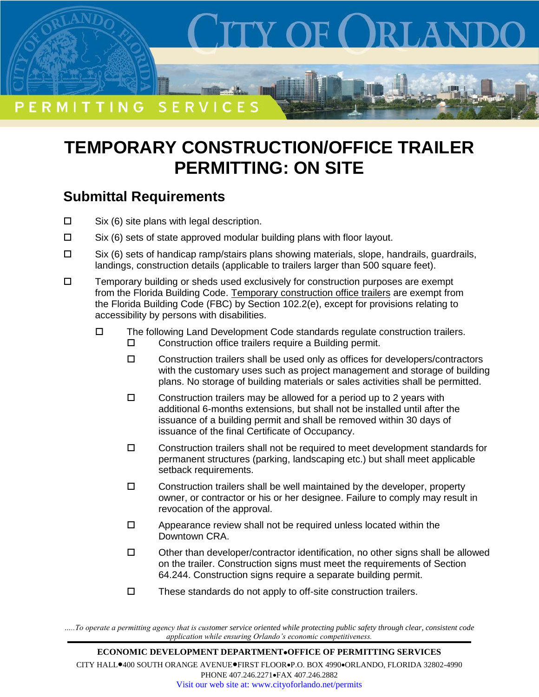

## **TEMPORARY CONSTRUCTION/OFFICE TRAILER PERMITTING: ON SITE**

## **Submittal Requirements**

- $\square$  Six (6) site plans with legal description.
- $\square$  Six (6) sets of state approved modular building plans with floor layout.
- $\square$  Six (6) sets of handicap ramp/stairs plans showing materials, slope, handrails, guardrails, landings, construction details (applicable to trailers larger than 500 square feet).
- $\square$  Temporary building or sheds used exclusively for construction purposes are exempt from the Florida Building Code. Temporary construction office trailers are exempt from the Florida Building Code (FBC) by Section 102.2(e), except for provisions relating to accessibility by persons with disabilities.
	- $\Box$  The following Land Development Code standards regulate construction trailers. □ Construction office trailers require a Building permit.
		- $\square$  Construction trailers shall be used only as offices for developers/contractors with the customary uses such as project management and storage of building plans. No storage of building materials or sales activities shall be permitted.
		- $\square$  Construction trailers may be allowed for a period up to 2 years with additional 6-months extensions, but shall not be installed until after the issuance of a building permit and shall be removed within 30 days of issuance of the final Certificate of Occupancy.
		- $\Box$  Construction trailers shall not be required to meet development standards for permanent structures (parking, landscaping etc.) but shall meet applicable setback requirements.
		- $\square$  Construction trailers shall be well maintained by the developer, property owner, or contractor or his or her designee. Failure to comply may result in revocation of the approval.
		- $\Box$  Appearance review shall not be required unless located within the Downtown CRA.
		- $\square$  Other than developer/contractor identification, no other signs shall be allowed on the trailer. Construction signs must meet the requirements of Section 64.244. Construction signs require a separate building permit.
		- $\square$  These standards do not apply to off-site construction trailers.

*…..To operate a permitting agency that is customer service oriented while protecting public safety through clear, consistent code application while ensuring Orlando's economic competitiveness.*

**ECONOMIC DEVELOPMENT DEPARTMENTOFFICE OF PERMITTING SERVICES** CITY HALL<sup>0400</sup> SOUTH ORANGE AVENUE<sup>O</sup>FIRST FLOOROP.O. BOX 4990<sup>o</sup>ORLANDO, FLORIDA 32802-4990 PHONE 407.246.2271 · FAX 407.246.2882 Visit our web site at: www.cityoforlando.net/permits